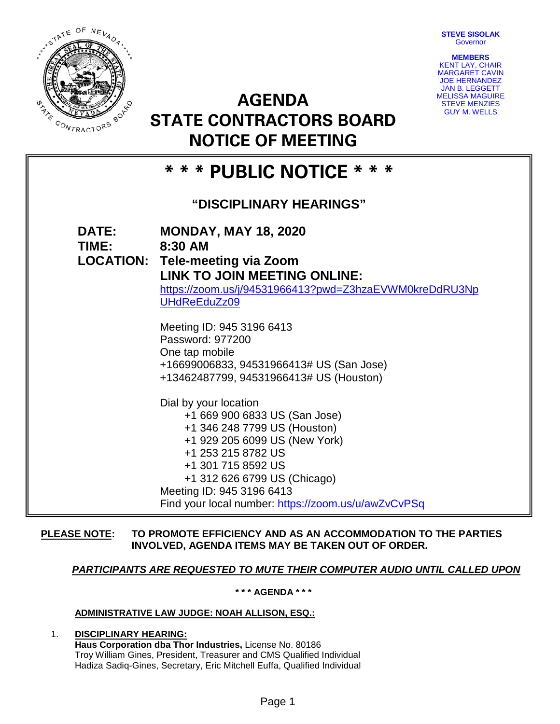**STEVE SISOLAK Governor** 



**AGENDA STATE CONTRACTORS BOARD NOTICE OF MEETING**



# **\* \* \* PUBLIC NOTICE \* \* \***

# **"DISCIPLINARY HEARINGS"**

| <b>DATE:</b><br><b>TIME:</b> | <b>MONDAY, MAY 18, 2020</b><br>8:30 AM<br><b>LOCATION: Tele-meeting via Zoom</b><br><b>LINK TO JOIN MEETING ONLINE:</b><br>https://zoom.us/j/94531966413?pwd=Z3hzaEVWM0kreDdRU3Np<br>UHdReEduZz09                                                                                       |
|------------------------------|-----------------------------------------------------------------------------------------------------------------------------------------------------------------------------------------------------------------------------------------------------------------------------------------|
|                              | Meeting ID: 945 3196 6413<br>Password: 977200<br>One tap mobile<br>+16699006833, 94531966413# US (San Jose)<br>+13462487799, 94531966413# US (Houston)                                                                                                                                  |
|                              | Dial by your location<br>+1 669 900 6833 US (San Jose)<br>+1 346 248 7799 US (Houston)<br>+1 929 205 6099 US (New York)<br>+1 253 215 8782 US<br>+1 301 715 8592 US<br>+1 312 626 6799 US (Chicago)<br>Meeting ID: 945 3196 6413<br>Find your local number: https://zoom.us/u/awZvCvPSq |

# **PLEASE NOTE: TO PROMOTE EFFICIENCY AND AS AN ACCOMMODATION TO THE PARTIES INVOLVED, AGENDA ITEMS MAY BE TAKEN OUT OF ORDER.**

# *PARTICIPANTS ARE REQUESTED TO MUTE THEIR COMPUTER AUDIO UNTIL CALLED UPON*

**\* \* \* AGENDA \* \* \***

# **ADMINISTRATIVE LAW JUDGE: NOAH ALLISON, ESQ.:**

### 1. **DISCIPLINARY HEARING: Haus Corporation dba Thor Industries,** License No. 80186 Troy William Gines, President, Treasurer and CMS Qualified Individual Hadiza Sadiq-Gines, Secretary, Eric Mitchell Euffa, Qualified Individual